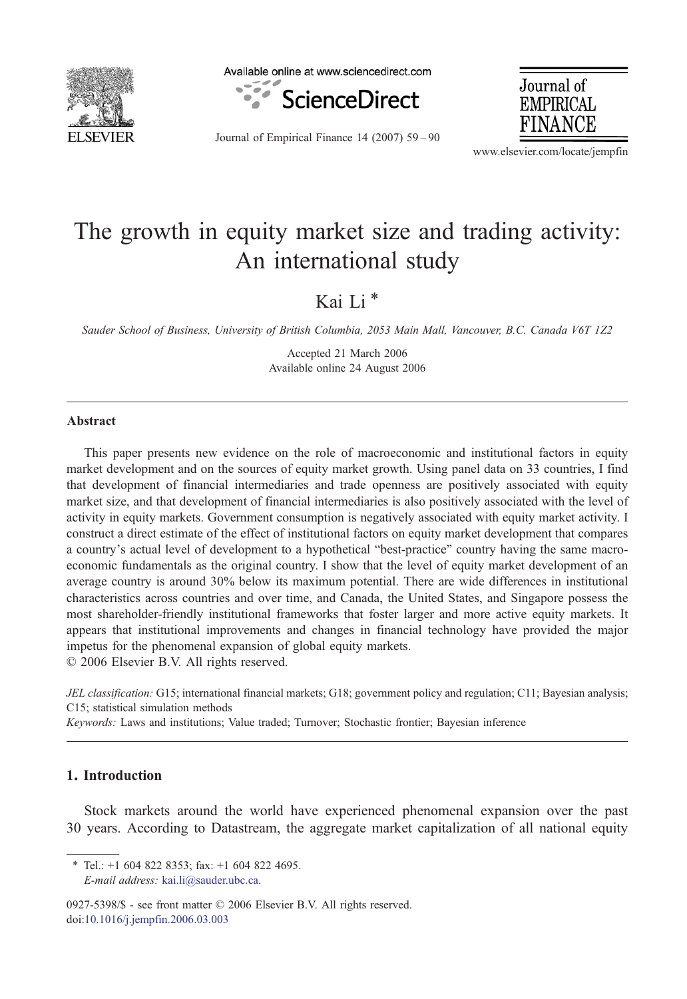

Available online at www.sciencedirect.com



Journal of Empirical Finance 14 (2007) 59–90

Journal of **EMPIRICAL** FINANCE

www.elsevier.com/locate/jempfin

## The growth in equity market size and trading activity: An international study

Kai Li<sup>\*</sup>

Sauder School of Business, University of British Columbia, 2053 Main Mall, Vancouver, B.C. Canada V6T 1Z2

Accepted 21 March 2006 Available online 24 August 2006

## Abstract

This paper presents new evidence on the role of macroeconomic and institutional factors in equity market development and on the sources of equity market growth. Using panel data on 33 countries, I find that development of financial intermediaries and trade openness are positively associated with equity market size, and that development of financial intermediaries is also positively associated with the level of activity in equity markets. Government consumption is negatively associated with equity market activity. I construct a direct estimate of the effect of institutional factors on equity market development that compares a country's actual level of development to a hypothetical "best-practice" country having the same macroeconomic fundamentals as the original country. I show that the level of equity market development of an average country is around 30% below its maximum potential. There are wide differences in institutional characteristics across countries and over time, and Canada, the United States, and Singapore possess the most shareholder-friendly institutional frameworks that foster larger and more active equity markets. It appears that institutional improvements and changes in financial technology have provided the major impetus for the phenomenal expansion of global equity markets.

© 2006 Elsevier B.V. All rights reserved.

JEL classification: G15; international financial markets; G18; government policy and regulation; C11; Bayesian analysis; C15; statistical simulation methods

Keywords: Laws and institutions; Value traded; Turnover; Stochastic frontier; Bayesian inference

## 1. Introduction

Stock markets around the world have experienced phenomenal expansion over the past 30 years. According to Datastream, the aggregate market capitalization of all national equity

0927-5398/\$ - see front matter © 2006 Elsevier B.V. All rights reserved. doi:[10.1016/j.jempfin.2006.03.003](http://dx.doi.org/10.1016/j.jempfin.2006.03.003)

 $*$  Tel.: +1 604 822 8353; fax: +1 604 822 4695. E-mail address: [kai.li@sauder.ubc.ca.](mailto:kai.li@sauder.ubc.ca)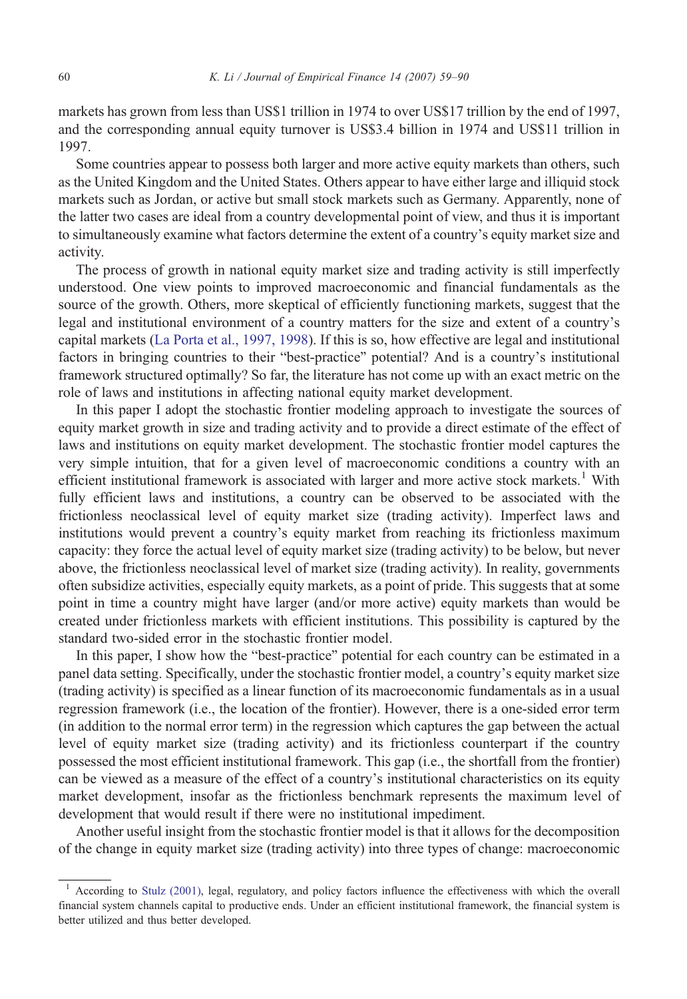markets has grown from less than US\$1 trillion in 1974 to over US\$17 trillion by the end of 1997, and the corresponding annual equity turnover is US\$3.4 billion in 1974 and US\$11 trillion in 1997.

Some countries appear to possess both larger and more active equity markets than others, such as the United Kingdom and the United States. Others appear to have either large and illiquid stock markets such as Jordan, or active but small stock markets such as Germany. Apparently, none of the latter two cases are ideal from a country developmental point of view, and thus it is important to simultaneously examine what factors determine the extent of a country's equity market size and activity.

The process of growth in national equity market size and trading activity is still imperfectly understood. One view points to improved macroeconomic and financial fundamentals as the source of the growth. Others, more skeptical of efficiently functioning markets, suggest that the legal and institutional environment of a country matters for the size and extent of a country's capital markets [\(La Porta et al., 1997, 1998](#page--1-0)). If this is so, how effective are legal and institutional factors in bringing countries to their "best-practice" potential? And is a country's institutional framework structured optimally? So far, the literature has not come up with an exact metric on the role of laws and institutions in affecting national equity market development.

In this paper I adopt the stochastic frontier modeling approach to investigate the sources of equity market growth in size and trading activity and to provide a direct estimate of the effect of laws and institutions on equity market development. The stochastic frontier model captures the very simple intuition, that for a given level of macroeconomic conditions a country with an efficient institutional framework is associated with larger and more active stock markets.<sup>1</sup> With fully efficient laws and institutions, a country can be observed to be associated with the frictionless neoclassical level of equity market size (trading activity). Imperfect laws and institutions would prevent a country's equity market from reaching its frictionless maximum capacity: they force the actual level of equity market size (trading activity) to be below, but never above, the frictionless neoclassical level of market size (trading activity). In reality, governments often subsidize activities, especially equity markets, as a point of pride. This suggests that at some point in time a country might have larger (and/or more active) equity markets than would be created under frictionless markets with efficient institutions. This possibility is captured by the standard two-sided error in the stochastic frontier model.

In this paper, I show how the "best-practice" potential for each country can be estimated in a panel data setting. Specifically, under the stochastic frontier model, a country's equity market size (trading activity) is specified as a linear function of its macroeconomic fundamentals as in a usual regression framework (i.e., the location of the frontier). However, there is a one-sided error term (in addition to the normal error term) in the regression which captures the gap between the actual level of equity market size (trading activity) and its frictionless counterpart if the country possessed the most efficient institutional framework. This gap (i.e., the shortfall from the frontier) can be viewed as a measure of the effect of a country's institutional characteristics on its equity market development, insofar as the frictionless benchmark represents the maximum level of development that would result if there were no institutional impediment.

Another useful insight from the stochastic frontier model is that it allows for the decomposition of the change in equity market size (trading activity) into three types of change: macroeconomic

<sup>&</sup>lt;sup>1</sup> According to [Stulz \(2001\),](#page--1-0) legal, regulatory, and policy factors influence the effectiveness with which the overall financial system channels capital to productive ends. Under an efficient institutional framework, the financial system is better utilized and thus better developed.